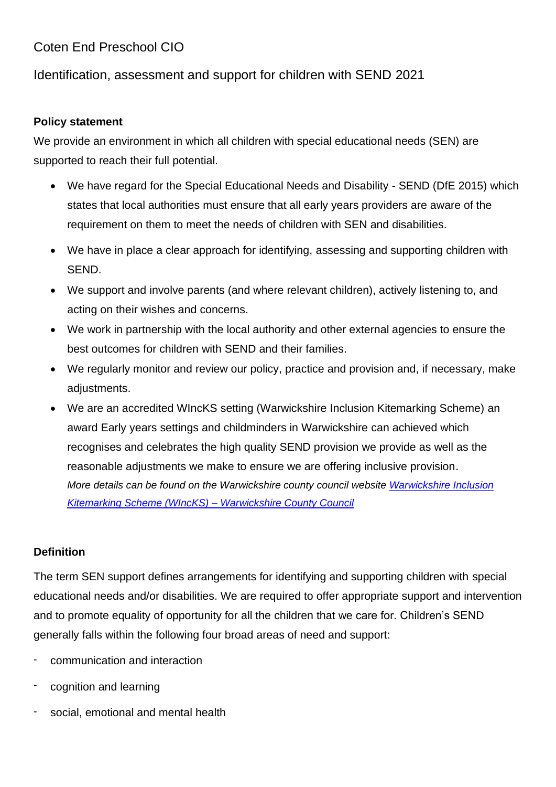# Coten End Preschool CIO

## Identification, assessment and support for children with SEND 2021

#### **Policy statement**

We provide an environment in which all children with special educational needs (SEN) are supported to reach their full potential.

- We have regard for the Special Educational Needs and Disability SEND (DfE 2015) which states that local authorities must ensure that all early years providers are aware of the requirement on them to meet the needs of children with SEN and disabilities.
- We have in place a clear approach for identifying, assessing and supporting children with SEND.
- We support and involve parents (and where relevant children), actively listening to, and acting on their wishes and concerns.
- We work in partnership with the local authority and other external agencies to ensure the best outcomes for children with SEND and their families.
- We regularly monitor and review our policy, practice and provision and, if necessary, make adiustments.
- We are an accredited WIncKS setting (Warwickshire Inclusion Kitemarking Scheme) an award Early years settings and childminders in Warwickshire can achieved which recognises and celebrates the high quality SEND provision we provide as well as the reasonable adjustments we make to ensure we are offering inclusive provision. *More details can be found on the Warwickshire county council website [Warwickshire Inclusion](https://www.warwickshire.gov.uk/children-families/view-current-wincks-award-winners/1)  [Kitemarking Scheme \(WIncKS\) –](https://www.warwickshire.gov.uk/children-families/view-current-wincks-award-winners/1) Warwickshire County Council*

#### **Definition**

The term SEN support defines arrangements for identifying and supporting children with special educational needs and/or disabilities. We are required to offer appropriate support and intervention and to promote equality of opportunity for all the children that we care for. Children's SEND generally falls within the following four broad areas of need and support:

- communication and interaction
- cognition and learning
- social, emotional and mental health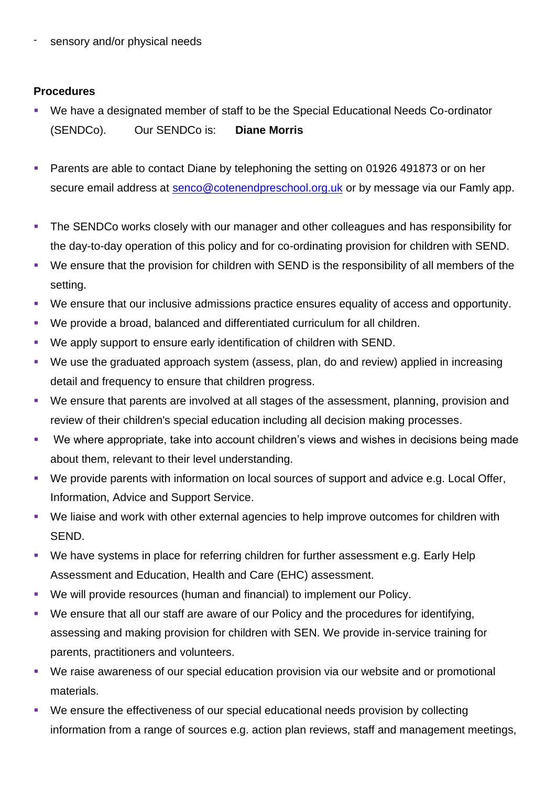sensory and/or physical needs

#### **Procedures**

- We have a designated member of staff to be the Special Educational Needs Co-ordinator (SENDCo). Our SENDCo is: **Diane Morris**
- Parents are able to contact Diane by telephoning the setting on 01926 491873 or on her secure email address at [senco@cotenendpreschool.org.uk](mailto:senco@cotenendpreschool.org.uk) or by message via our Famly app.
- **The SENDCo works closely with our manager and other colleagues and has responsibility for** the day-to-day operation of this policy and for co-ordinating provision for children with SEND.
- We ensure that the provision for children with SEND is the responsibility of all members of the setting.
- We ensure that our inclusive admissions practice ensures equality of access and opportunity.
- We provide a broad, balanced and differentiated curriculum for all children.
- We apply support to ensure early identification of children with SEND.
- We use the graduated approach system (assess, plan, do and review) applied in increasing detail and frequency to ensure that children progress.
- We ensure that parents are involved at all stages of the assessment, planning, provision and review of their children's special education including all decision making processes.
- We where appropriate, take into account children's views and wishes in decisions being made about them, relevant to their level understanding.
- We provide parents with information on local sources of support and advice e.g. Local Offer, Information, Advice and Support Service.
- We liaise and work with other external agencies to help improve outcomes for children with SEND.
- We have systems in place for referring children for further assessment e.g. Early Help Assessment and Education, Health and Care (EHC) assessment.
- We will provide resources (human and financial) to implement our Policy.
- We ensure that all our staff are aware of our Policy and the procedures for identifying, assessing and making provision for children with SEN. We provide in-service training for parents, practitioners and volunteers.
- We raise awareness of our special education provision via our website and or promotional materials.
- We ensure the effectiveness of our special educational needs provision by collecting information from a range of sources e.g. action plan reviews, staff and management meetings,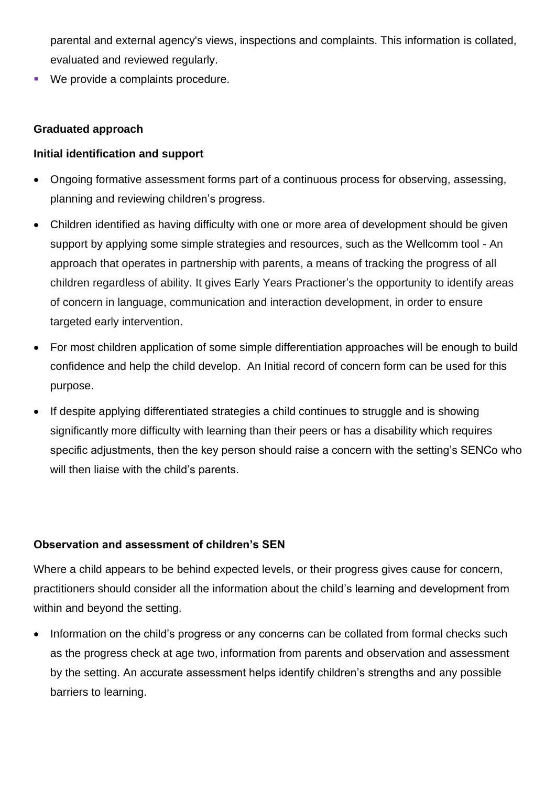parental and external agency's views, inspections and complaints. This information is collated, evaluated and reviewed regularly.

We provide a complaints procedure.

#### **Graduated approach**

#### **Initial identification and support**

- Ongoing formative assessment forms part of a continuous process for observing, assessing, planning and reviewing children's progress.
- Children identified as having difficulty with one or more area of development should be given support by applying some simple strategies and resources, such as the Wellcomm tool - An approach that operates in partnership with parents, a means of tracking the progress of all children regardless of ability. It gives Early Years Practioner's the opportunity to identify areas of concern in language, communication and interaction development, in order to ensure targeted early intervention.
- For most children application of some simple differentiation approaches will be enough to build confidence and help the child develop. An Initial record of concern form can be used for this purpose.
- If despite applying differentiated strategies a child continues to struggle and is showing significantly more difficulty with learning than their peers or has a disability which requires specific adjustments, then the key person should raise a concern with the setting's SENCo who will then liaise with the child's parents.

#### **Observation and assessment of children's SEN**

Where a child appears to be behind expected levels, or their progress gives cause for concern, practitioners should consider all the information about the child's learning and development from within and beyond the setting.

• Information on the child's progress or any concerns can be collated from formal checks such as the progress check at age two, information from parents and observation and assessment by the setting. An accurate assessment helps identify children's strengths and any possible barriers to learning.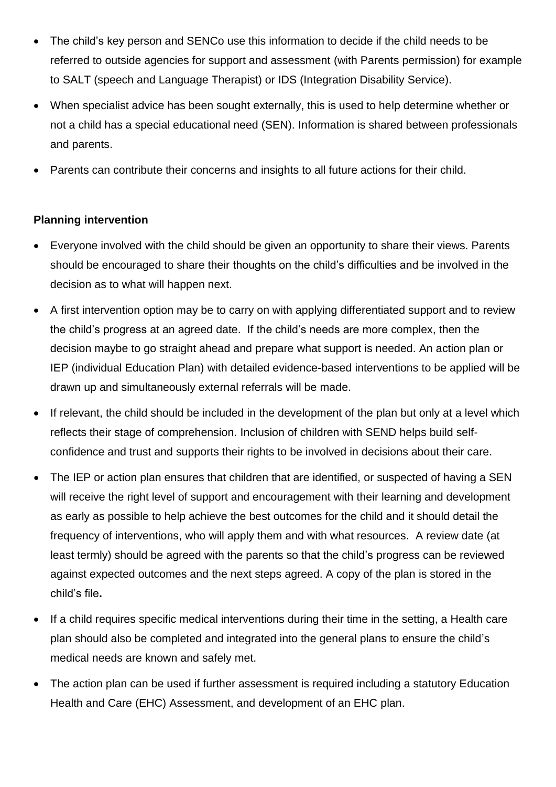- The child's key person and SENCo use this information to decide if the child needs to be referred to outside agencies for support and assessment (with Parents permission) for example to SALT (speech and Language Therapist) or IDS (Integration Disability Service).
- When specialist advice has been sought externally, this is used to help determine whether or not a child has a special educational need (SEN). Information is shared between professionals and parents.
- Parents can contribute their concerns and insights to all future actions for their child.

#### **Planning intervention**

- Everyone involved with the child should be given an opportunity to share their views. Parents should be encouraged to share their thoughts on the child's difficulties and be involved in the decision as to what will happen next.
- A first intervention option may be to carry on with applying differentiated support and to review the child's progress at an agreed date. If the child's needs are more complex, then the decision maybe to go straight ahead and prepare what support is needed. An action plan or IEP (individual Education Plan) with detailed evidence-based interventions to be applied will be drawn up and simultaneously external referrals will be made.
- If relevant, the child should be included in the development of the plan but only at a level which reflects their stage of comprehension. Inclusion of children with SEND helps build selfconfidence and trust and supports their rights to be involved in decisions about their care.
- The IEP or action plan ensures that children that are identified, or suspected of having a SEN will receive the right level of support and encouragement with their learning and development as early as possible to help achieve the best outcomes for the child and it should detail the frequency of interventions, who will apply them and with what resources. A review date (at least termly) should be agreed with the parents so that the child's progress can be reviewed against expected outcomes and the next steps agreed. A copy of the plan is stored in the child's file**.**
- If a child requires specific medical interventions during their time in the setting, a Health care plan should also be completed and integrated into the general plans to ensure the child's medical needs are known and safely met.
- The action plan can be used if further assessment is required including a statutory Education Health and Care (EHC) Assessment, and development of an EHC plan.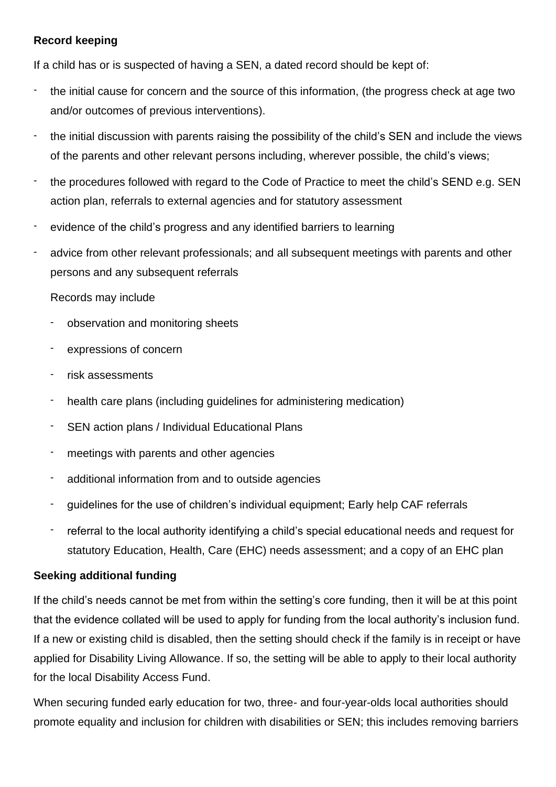#### **Record keeping**

If a child has or is suspected of having a SEN, a dated record should be kept of:

- the initial cause for concern and the source of this information, (the progress check at age two and/or outcomes of previous interventions).
- the initial discussion with parents raising the possibility of the child's SEN and include the views of the parents and other relevant persons including, wherever possible, the child's views;
- the procedures followed with regard to the Code of Practice to meet the child's SEND e.g. SEN action plan, referrals to external agencies and for statutory assessment
- evidence of the child's progress and any identified barriers to learning
- advice from other relevant professionals; and all subsequent meetings with parents and other persons and any subsequent referrals

#### Records may include

- observation and monitoring sheets
- expressions of concern
- risk assessments
- health care plans (including guidelines for administering medication)
- SEN action plans / Individual Educational Plans
- meetings with parents and other agencies
- additional information from and to outside agencies
- guidelines for the use of children's individual equipment; Early help CAF referrals
- referral to the local authority identifying a child's special educational needs and request for statutory Education, Health, Care (EHC) needs assessment; and a copy of an EHC plan

#### **Seeking additional funding**

If the child's needs cannot be met from within the setting's core funding, then it will be at this point that the evidence collated will be used to apply for funding from the local authority's inclusion fund. If a new or existing child is disabled, then the setting should check if the family is in receipt or have applied for Disability Living Allowance. If so, the setting will be able to apply to their local authority for the local Disability Access Fund.

When securing funded early education for two, three- and four-year-olds local authorities should promote equality and inclusion for children with disabilities or SEN; this includes removing barriers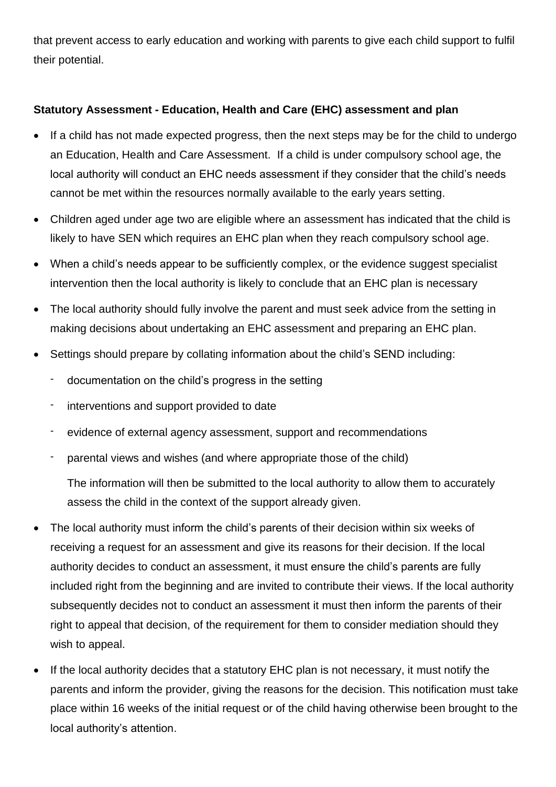that prevent access to early education and working with parents to give each child support to fulfil their potential.

### **Statutory Assessment - Education, Health and Care (EHC) assessment and plan**

- If a child has not made expected progress, then the next steps may be for the child to undergo an Education, Health and Care Assessment. If a child is under compulsory school age, the local authority will conduct an EHC needs assessment if they consider that the child's needs cannot be met within the resources normally available to the early years setting.
- Children aged under age two are eligible where an assessment has indicated that the child is likely to have SEN which requires an EHC plan when they reach compulsory school age.
- When a child's needs appear to be sufficiently complex, or the evidence suggest specialist intervention then the local authority is likely to conclude that an EHC plan is necessary
- The local authority should fully involve the parent and must seek advice from the setting in making decisions about undertaking an EHC assessment and preparing an EHC plan.
- Settings should prepare by collating information about the child's SEND including:
	- documentation on the child's progress in the setting
	- interventions and support provided to date
	- evidence of external agency assessment, support and recommendations
	- parental views and wishes (and where appropriate those of the child)

The information will then be submitted to the local authority to allow them to accurately assess the child in the context of the support already given.

- The local authority must inform the child's parents of their decision within six weeks of receiving a request for an assessment and give its reasons for their decision. If the local authority decides to conduct an assessment, it must ensure the child's parents are fully included right from the beginning and are invited to contribute their views. If the local authority subsequently decides not to conduct an assessment it must then inform the parents of their right to appeal that decision, of the requirement for them to consider mediation should they wish to appeal.
- If the local authority decides that a statutory EHC plan is not necessary, it must notify the parents and inform the provider, giving the reasons for the decision. This notification must take place within 16 weeks of the initial request or of the child having otherwise been brought to the local authority's attention.